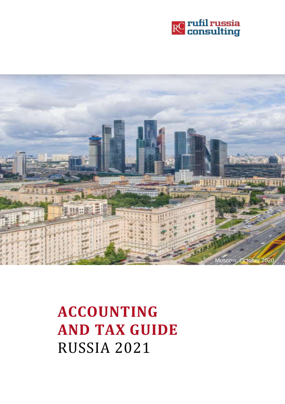



**ACCOUNTING AND TAX GUIDE**  RUSSIA 2021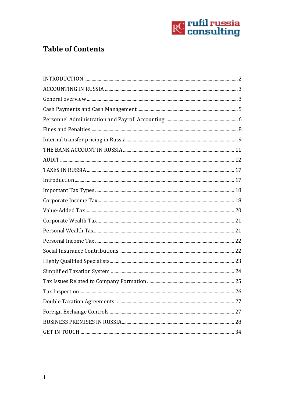

# **Table of Contents**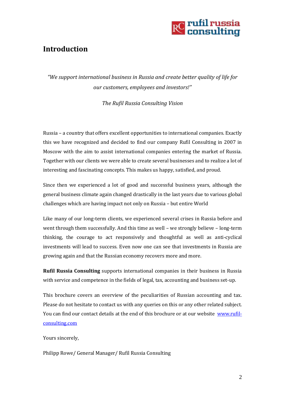

## <span id="page-2-0"></span>**Introduction**

*"We support international business in Russia and create better quality of life for our customers, employees and investors!"*

*The Rufil Russia Consulting Vision*

Russia – a country that offers excellent opportunities to international companies. Exactly this we have recognized and decided to find our company Rufil Consulting in 2007 in Moscow with the aim to assist international companies entering the market of Russia. Together with our clients we were able to create several businesses and to realize a lot of interesting and fascinating concepts. This makes us happy, satisfied, and proud.

Since then we experienced a lot of good and successful business years, although the general business climate again changed drastically in the last years due to various global challenges which are having impact not only on Russia – but entire World

Like many of our long-term clients, we experienced several crises in Russia before and went through them successfully. And this time as well – we strongly believe – long-term thinking, the courage to act responsively and thoughtful as well as anti-cyclical investments will lead to success. Even now one can see that investments in Russia are growing again and that the Russian economy recovers more and more.

**Rufil Russia Consulting** supports international companies in their business in Russia with service and competence in the fields of legal, tax, accounting and business set-up.

This brochure covers an overview of the peculiarities of Russian accounting and tax. Please do not hesitate to contact us with any queries on this or any other related subject. You can find our contact details at the end of this brochure or at our website [www.rufil](http://www.rufil-consulting.com/)[consulting.com](http://www.rufil-consulting.com/)

Yours sincerely,

<span id="page-2-1"></span>Philipp Rowe/ General Manager/ Rufil Russia Consulting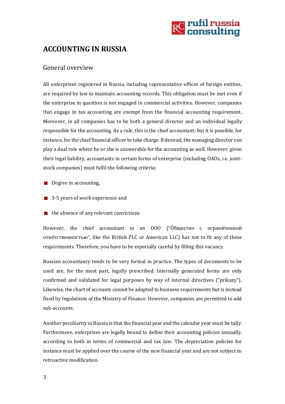

# **ACCOUNTING IN RUSSIA**

#### <span id="page-3-0"></span>General overview

All enterprises registered in Russia, including representative offices of foreign entities, are required by law to maintain accounting records. This obligation must be met even if the enterprise in question is not engaged in commercial activities. However, companies that engage in tax accounting are exempt from the financial accounting requirement. Moreover, in all companies has to be both a general director and an individual legally responsible for the accounting. As a rule, this is the chief accountant; but it is possible, for instance, for the chief financial officer to take charge. If desired, the managing director can play a dual role where he or she is answerable for the accounting as well. However, given their legal liability, accountants in certain forms of enterprise (including OAOs, i.e. jointstock companies) must fulfil the following criteria:

- Degree in accounting,
- 3-5 years of work experience and
- $\blacksquare$  the absence of any relevant convictions

However, the chief accountant in an OOO ("О́бщество с ограни́ченной отве́тственностью", like the British PLC or American LLC) has not to fit any of these requirements. Therefore, you have to be especially careful by filling this vacancy.

Russian accountancy tends to be very formal in practice. The types of documents to be used are, for the most part, legally prescribed. Internally generated forms are only confirmed and validated for legal purposes by way of internal directives ("prikazy"). Likewise, the chart of accounts cannot be adapted to business requirements but is instead fixed by regulations of the Ministry of Finance. However, companies are permitted to add sub-accounts.

Another peculiarity in Russia is that the financial year and the calendar year must be tally. Furthermore, enterprises are legally bound to define their accounting policies annually, according to both in terms of commercial and tax law. The depreciation policies for instance must be applied over the course of the new financial year and are not subject to retroactive modification.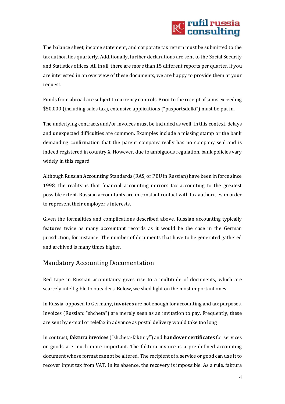# **RC** rufil russia<br>RC consulting

The balance sheet, income statement, and corporate tax return must be submitted to the tax authorities quarterly. Additionally, further declarations are sent to the Social Security and Statistics offices. All in all, there are more than 15 different reports per quarter. If you are interested in an overview of these documents, we are happy to provide them at your request.

Funds from abroad are subject to currency controls. Prior to the receipt of sums exceeding \$50,000 (including sales tax), extensive applications ("pasportsdelki") must be put in.

The underlying contracts and/or invoices must be included as well. In this context, delays and unexpected difficulties are common. Examples include a missing stamp or the bank demanding confirmation that the parent company really has no company seal and is indeed registered in country X. However, due to ambiguous regulation, bank policies vary widely in this regard.

Although Russian Accounting Standards (RAS, or PBU in Russian) have been in force since 1998, the reality is that financial accounting mirrors tax accounting to the greatest possible extent. Russian accountants are in constant contact with tax authorities in order to represent their employer's interests.

Given the formalities and complications described above, Russian accounting typically features twice as many accountant records as it would be the case in the German jurisdiction, for instance. The number of documents that have to be generated gathered and archived is many times higher.

### Mandatory Accounting Documentation

Red tape in Russian accountancy gives rise to a multitude of documents, which are scarcely intelligible to outsiders. Below, we shed light on the most important ones.

In Russia, opposed to Germany, **invoices** are not enough for accounting and tax purposes. Invoices (Russian: "shcheta") are merely seen as an invitation to pay. Frequently, these are sent by e-mail or telefax in advance as postal delivery would take too long

In contrast, **faktura invoices** ("shcheta-faktury") and **handover certificates** for services or goods are much more important. The faktura invoice is a pre-defined accounting document whose format cannot be altered. The recipient of a service or good can use it to recover input tax from VAT. In its absence, the recovery is impossible. As a rule, faktura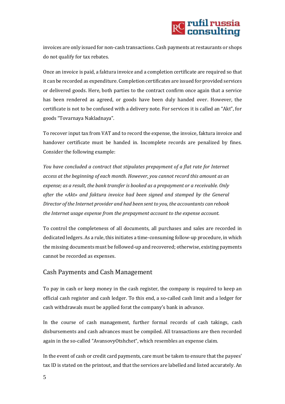

invoices are only issued for non-cash transactions. Cash payments at restaurants or shops do not qualify for tax rebates.

Once an invoice is paid, a faktura invoice and a completion certificate are required so that it can be recorded as expenditure. Completion certificates are issued for provided services or delivered goods. Here, both parties to the contract confirm once again that a service has been rendered as agreed, or goods have been duly handed over. However, the certificate is not to be confused with a delivery note. For services it is called an "Akt", for goods "Tovarnaya Nakladnaya".

To recover input tax from VAT and to record the expense, the invoice, faktura invoice and handover certificate must be handed in. Incomplete records are penalized by fines. Consider the following example:

*You have concluded a contract that stipulates prepayment of a flat rate for Internet access at the beginning of each month. However, you cannot record this amount as an expense; as a result, the bank transfer is booked as a prepayment or a receivable. Only after the «Akt» and faktura invoice had been signed and stamped by the General Director of the Internet provider and had been sent to you, the accountants can rebook the Internet usage expense from the prepayment account to the expense account.*

To control the completeness of all documents, all purchases and sales are recorded in dedicated ledgers. As a rule, this initiates a time-consuming follow-up procedure, in which the missing documents must be followed-up and recovered; otherwise, existing payments cannot be recorded as expenses.

#### <span id="page-5-0"></span>Cash Payments and Cash Management

To pay in cash or keep money in the cash register, the company is required to keep an official cash register and cash ledger. To this end, a so-called cash limit and a ledger for cash withdrawals must be applied forat the company's bank in advance.

In the course of cash management, further formal records of cash takings, cash disbursements and cash advances must be compiled. All transactions are then recorded again in the so-called "AvansovyOtshchet", which resembles an expense claim.

In the event of cash or credit card payments, care must be taken to ensure that the payees' tax ID is stated on the printout, and that the services are labelled and listed accurately. An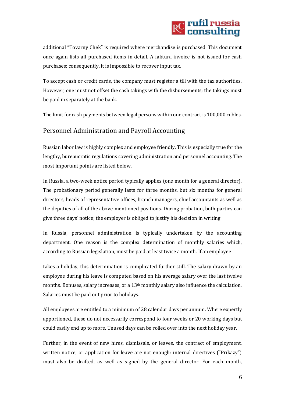# **RC** rufil russia

additional "Tovarny Chek" is required where merchandise is purchased. This document once again lists all purchased items in detail. A faktura invoice is not issued for cash purchases; consequently, it is impossible to recover input tax.

To accept cash or credit cards, the company must register a till with the tax authorities. However, one must not offset the cash takings with the disbursements; the takings must be paid in separately at the bank.

The limit for cash payments between legal persons within one contract is 100,000 rubles.

### <span id="page-6-0"></span>Personnel Administration and Payroll Accounting

Russian labor law is highly complex and employee friendly. This is especially true for the lengthy, bureaucratic regulations covering administration and personnel accounting. The most important points are listed below.

In Russia, a two-week notice period typically applies (one month for a general director). The probationary period generally lasts for three months, but six months for general directors, heads of representative offices, branch managers, chief accountants as well as the deputies of all of the above-mentioned positions. During probation, both parties can give three days' notice; the employer is obliged to justify his decision in writing.

In Russia, personnel administration is typically undertaken by the accounting department. One reason is the complex determination of monthly salaries which, according to Russian legislation, must be paid at least twice a month. If an employee

takes a holiday, this determination is complicated further still. The salary drawn by an employee during his leave is computed based on his average salary over the last twelve months. Bonuses, salary increases, or a 13<sup>th</sup> monthly salary also influence the calculation. Salaries must be paid out prior to holidays.

All employees are entitled to a minimum of 28 calendar days per annum. Where expertly apportioned, these do not necessarily correspond to four weeks or 20 working days but could easily end up to more. Unused days can be rolled over into the next holiday year.

Further, in the event of new hires, dismissals, or leaves, the contract of employment, written notice, or application for leave are not enough: internal directives ("Prikazy") must also be drafted, as well as signed by the general director. For each month,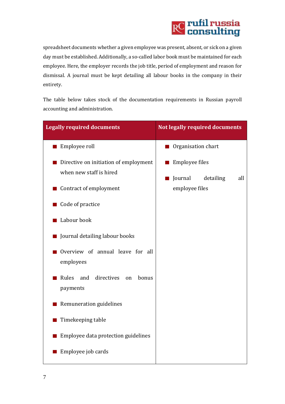

spreadsheet documents whether a given employee was present, absent, or sick on a given day must be established. Additionally, a so-called labor book must be maintained for each employee. Here, the employer records the job title, period of employment and reason for dismissal. A journal must be kept detailing all labour books in the company in their entirety.

The table below takes stock of the documentation requirements in Russian payroll accounting and administration.

| <b>Legally required documents</b>                                | <b>Not legally required documents</b>         |
|------------------------------------------------------------------|-----------------------------------------------|
| Employee roll                                                    | Organisation chart                            |
| Directive on initiation of employment<br>when new staff is hired | Employee files                                |
| Contract of employment                                           | Journal<br>detailing<br>all<br>employee files |
| Code of practice                                                 |                                               |
| Labour book                                                      |                                               |
| Journal detailing labour books                                   |                                               |
| Overview of annual leave for all<br>employees                    |                                               |
| directives<br>Rules<br>and<br>bonus<br>on<br>payments            |                                               |
| Remuneration guidelines                                          |                                               |
| Timekeeping table                                                |                                               |
| Employee data protection guidelines                              |                                               |
| Employee job cards                                               |                                               |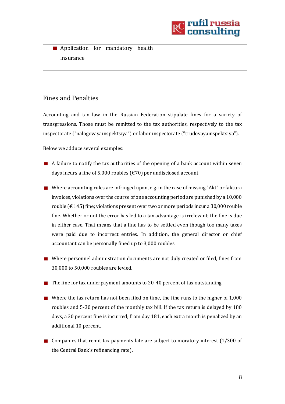

| Application for mandatory health |  |  |
|----------------------------------|--|--|
| insurance                        |  |  |
|                                  |  |  |

### <span id="page-8-0"></span>Fines and Penalties

Accounting and tax law in the Russian Federation stipulate fines for a variety of transgressions. Those must be remitted to the tax authorities, respectively to the tax inspectorate ("nalogovayainspektsiya") or labor inspectorate ("trudovayainspektsiya").

Below we adduce several examples:

- $\blacksquare$  A failure to notify the tax authorities of the opening of a bank account within seven days incurs a fine of 5,000 roubles (€70) per undisclosed account.
- Where accounting rules are infringed upon, e.g. in the case of missing "Akt" or faktura invoices, violations over the course of one accounting period are punished by a 10,000 rouble ( $\epsilon$  145) fine; violations present over two or more periods incur a 30,000 rouble fine. Whether or not the error has led to a tax advantage is irrelevant; the fine is due in either case. That means that a fine has to be settled even though too many taxes were paid due to incorrect entries. In addition, the general director or chief accountant can be personally fined up to 3,000 roubles.
- Where personnel administration documents are not duly created or filed, fines from 30,000 to 50,000 roubles are levied.
- The fine for tax underpayment amounts to 20-40 percent of tax outstanding.
- Where the tax return has not been filed on time, the fine runs to the higher of 1,000 roubles and 5-30 percent of the monthly tax bill. If the tax return is delayed by 180 days, a 30 percent fine is incurred; from day 181, each extra month is penalized by an additional 10 percent.
- Companies that remit tax payments late are subject to moratory interest (1/300 of the Central Bank's refinancing rate).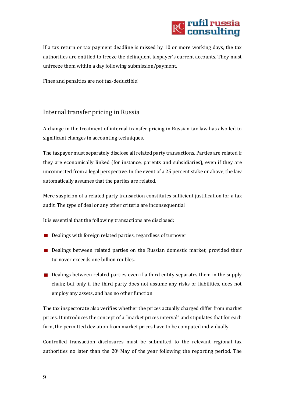<span id="page-9-0"></span>

If a tax return or tax payment deadline is missed by 10 or more working days, the tax authorities are entitled to freeze the delinquent taxpayer's current accounts. They must unfreeze them within a day following submission/payment.

Fines and penalties are not tax-deductible!

#### Internal transfer pricing in Russia

A change in the treatment of internal transfer pricing in Russian tax law has also led to significant changes in accounting techniques.

The taxpayer must separately disclose all related party transactions. Parties are related if they are economically linked (for instance, parents and subsidiaries), even if they are unconnected from a legal perspective. In the event of a 25 percent stake or above, the law automatically assumes that the parties are related.

Mere suspicion of a related party transaction constitutes sufficient justification for a tax audit. The type of deal or any other criteria are inconsequential

It is essential that the following transactions are disclosed:

- Dealings with foreign related parties, regardless of turnover
- **Dealings between related parties on the Russian domestic market, provided their** turnover exceeds one billion roubles.
- Dealings between related parties even if a third entity separates them in the supply chain; but only if the third party does not assume any risks or liabilities, does not employ any assets, and has no other function.

The tax inspectorate also verifies whether the prices actually charged differ from market prices. It introduces the concept of a "market prices interval" and stipulates that for each firm, the permitted deviation from market prices have to be computed individually.

Controlled transaction disclosures must be submitted to the relevant regional tax authorities no later than the  $20<sup>th</sup>May$  of the year following the reporting period. The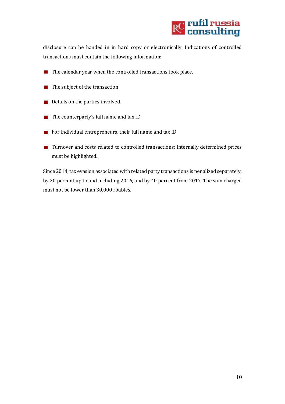

disclosure can be handed in in hard copy or electronically. Indications of controlled transactions must contain the following information:

- $\blacksquare$  The calendar year when the controlled transactions took place.
- $\blacksquare$  The subject of the transaction
- Details on the parties involved.
- The counterparty's full name and tax ID
- For individual entrepreneurs, their full name and tax ID
- Turnover and costs related to controlled transactions; internally determined prices must be highlighted.

<span id="page-10-0"></span>Since 2014, tax evasion associated with related party transactions is penalized separately; by 20 percent up to and including 2016, and by 40 percent from 2017. The sum charged must not be lower than 30,000 roubles.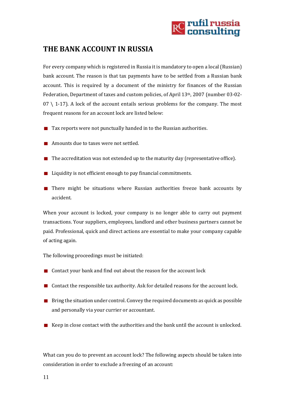

## **THE BANK ACCOUNT IN RUSSIA**

For every company which is registered in Russia it is mandatory to open a local (Russian) bank account. The reason is that tax payments have to be settled from a Russian bank account. This is required by a document of the ministry for finances of the Russian Federation, Department of taxes and custom policies, of April 13th, 2007 (number 03-02-  $07 \setminus 1$ -17). A lock of the account entails serious problems for the company. The most frequent reasons for an account lock are listed below:

- $\blacksquare$  Tax reports were not punctually handed in to the Russian authorities.
- **Amounts due to taxes were not settled.**
- $\blacksquare$  The accreditation was not extended up to the maturity day (representative office).
- Liquidity is not efficient enough to pay financial commitments.
- **There might be situations where Russian authorities freeze bank accounts by** accident.

When your account is locked, your company is no longer able to carry out payment transactions. Your suppliers, employees, landlord and other business partners cannot be paid. Professional, quick and direct actions are essential to make your company capable of acting again.

The following proceedings must be initiated:

- Contact your bank and find out about the reason for the account lock
- Contact the responsible tax authority. Ask for detailed reasons for the account lock.
- $\blacksquare$  Bring the situation under control. Convey the required documents as quick as possible and personally via your currier or accountant.
- $\blacksquare$  Keep in close contact with the authorities and the bank until the account is unlocked.

What can you do to prevent an account lock? The following aspects should be taken into consideration in order to exclude a freezing of an account: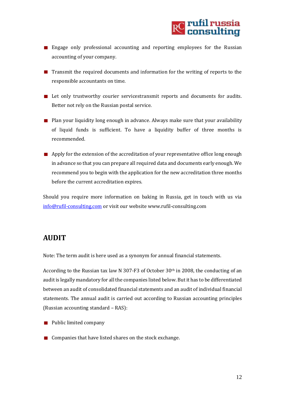

- **Engage only professional accounting and reporting employees for the Russian** accounting of your company.
- Transmit the required documents and information for the writing of reports to the responsible accountants on time.
- **Let only trustworthy courier servicestransmit reports and documents for audits.** Better not rely on the Russian postal service.
- **Plan your liquidity long enough in advance. Always make sure that your availability** of liquid funds is sufficient. To have a liquidity buffer of three months is recommended.
- Apply for the extension of the accreditation of your representative office long enough in advance so that you can prepare all required data and documents early enough. We recommend you to begin with the application for the new accreditation three months before the current accreditation expires.

Should you require more information on baking in Russia, get in touch with us via [info@rufil-consulting.com](mailto:info@rufil-consulting.com) or visit our website www.rufil-consulting.com

## <span id="page-12-0"></span>**AUDIT**

Note: The term audit is here used as a synonym for annual financial statements.

According to the Russian tax law N 307-F3 of October 30th in 2008, the conducting of an audit is legally mandatory for all the companies listed below. But it has to be differentiated between an audit of consolidated financial statements and an audit of individual financial statements. The annual audit is carried out according to Russian accounting principles (Russian accounting standard – RAS):

- **Public limited company**
- Companies that have listed shares on the stock exchange.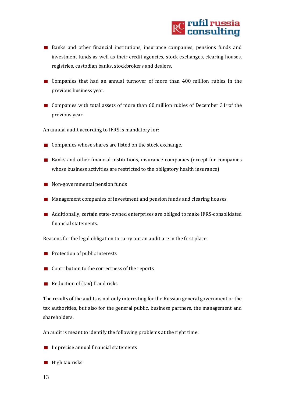

- **Banks and other financial institutions, insurance companies, pensions funds and** investment funds as well as their credit agencies, stock exchanges, clearing houses, registries, custodian banks, stockbrokers and dealers.
- Companies that had an annual turnover of more than 400 million rubles in the previous business year.
- Companies with total assets of more than 60 million rubles of December  $31<sup>st</sup>$ of the previous year.

An annual audit according to IFRS is mandatory for:

- $\Box$  Companies whose shares are listed on the stock exchange.
- Banks and other financial institutions, insurance companies (except for companies whose business activities are restricted to the obligatory health insurance)
- Non-governmental pension funds
- **Management companies of investment and pension funds and clearing houses**
- Additionally, certain state-owned enterprises are obliged to make IFRS-consolidated financial statements.

Reasons for the legal obligation to carry out an audit are in the first place:

- $\blacksquare$  Protection of public interests
- Contribution to the correctness of the reports
- Reduction of (tax) fraud risks

The results of the audits is not only interesting for the Russian general government or the tax authorities, but also for the general public, business partners, the management and shareholders.

An audit is meant to identify the following problems at the right time:

- $\blacksquare$  Imprecise annual financial statements
- $\blacksquare$  High tax risks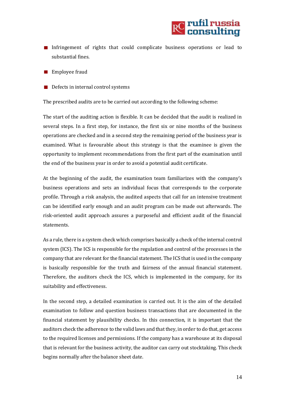

- Infringement of rights that could complicate business operations or lead to substantial fines.
- **Employee fraud**
- $\blacksquare$  Defects in internal control systems

The prescribed audits are to be carried out according to the following scheme:

The start of the auditing action is flexible. It can be decided that the audit is realized in several steps. In a first step, for instance, the first six or nine months of the business operations are checked and in a second step the remaining period of the business year is examined. What is favourable about this strategy is that the examinee is given the opportunity to implement recommendations from the first part of the examination until the end of the business year in order to avoid a potential audit certificate.

At the beginning of the audit, the examination team familiarizes with the company's business operations and sets an individual focus that corresponds to the corporate profile. Through a risk analysis, the audited aspects that call for an intensive treatment can be identified early enough and an audit program can be made out afterwards. The risk-oriented audit approach assures a purposeful and efficient audit of the financial statements.

As a rule, there is a system check which comprises basically a check of the internal control system (ICS). The ICS is responsible for the regulation and control of the processes in the company that are relevant for the financial statement. The ICS that is used in the company is basically responsible for the truth and fairness of the annual financial statement. Therefore, the auditors check the ICS, which is implemented in the company, for its suitability and effectiveness.

In the second step, a detailed examination is carried out. It is the aim of the detailed examination to follow and question business transactions that are documented in the financial statement by plausibility checks. In this connection, it is important that the auditors check the adherence to the valid laws and that they, in order to do that, get access to the required licenses and permissions. If the company has a warehouse at its disposal that is relevant for the business activity, the auditor can carry out stocktaking. This check begins normally after the balance sheet date.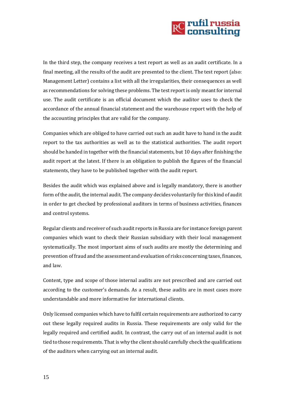

In the third step, the company receives a test report as well as an audit certificate. In a final meeting, all the results of the audit are presented to the client. The test report (also: Management Letter) contains a list with all the irregularities, their consequences as well as recommendations for solving these problems. The test report is only meant for internal use. The audit certificate is an official document which the auditor uses to check the accordance of the annual financial statement and the warehouse report with the help of the accounting principles that are valid for the company.

Companies which are obliged to have carried out such an audit have to hand in the audit report to the tax authorities as well as to the statistical authorities. The audit report should be handed in together with the financial statements, but 10 days after finishing the audit report at the latest. If there is an obligation to publish the figures of the financial statements, they have to be published together with the audit report.

Besides the audit which was explained above and is legally mandatory, there is another form of the audit, the internal audit. The company decides voluntarily for this kind of audit in order to get checked by professional auditors in terms of business activities, finances and control systems.

Regular clients and receiver of such audit reports in Russia are for instance foreign parent companies which want to check their Russian subsidiary with their local management systematically. The most important aims of such audits are mostly the determining and prevention of fraud and the assessment and evaluation of risks concerning taxes, finances, and law.

Content, type and scope of those internal audits are not prescribed and are carried out according to the customer's demands. As a result, these audits are in most cases more understandable and more informative for international clients.

Only licensed companies which have to fulfil certain requirements are authorized to carry out these legally required audits in Russia. These requirements are only valid for the legally required and certified audit. In contrast, the carry out of an internal audit is not tied to those requirements. That is why the client should carefully check the qualifications of the auditors when carrying out an internal audit.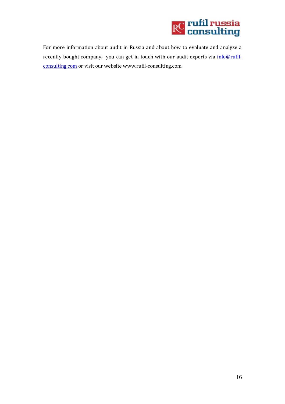

For more information about audit in Russia and about how to evaluate and analyze a recently bought company, you can get in touch with our audit experts via *info@rufil*[consulting.com](mailto:info@rufil-consulting.com) or visit our website www.rufil-consulting.com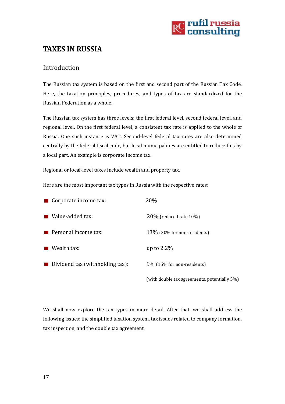

## <span id="page-17-0"></span>**TAXES IN RUSSIA**

### <span id="page-17-1"></span>Introduction

The Russian tax system is based on the first and second part of the Russian Tax Code. Here, the taxation principles, procedures, and types of tax are standardized for the Russian Federation as a whole.

The Russian tax system has three levels: the first federal level, second federal level, and regional level. On the first federal level, a consistent tax rate is applied to the whole of Russia. One such instance is VAT. Second-level federal tax rates are also determined centrally by the federal fiscal code, but local municipalities are entitled to reduce this by a local part. An example is corporate income tax.

Regional or local-level taxes include wealth and property tax.

Here are the most important tax types in Russia with the respective rates:

| $\blacksquare$ Corporate income tax: | 20%                            |
|--------------------------------------|--------------------------------|
| ■ Value-added tax:                   | $20\%$ (reduced rate 10%)      |
| $\blacksquare$ Personal income tax:  | $13\%$ (30% for non-residents) |
| $\blacksquare$ Wealth tax:           | up to $2.2\%$                  |
| Dividend tax (withholding tax):      | 9% (15% for non-residents)     |
|                                      |                                |

(with double tax agreements, potentially 5%)

We shall now explore the tax types in more detail. After that, we shall address the following issues: the simplified taxation system, tax issues related to company formation, tax inspection, and the double tax agreement.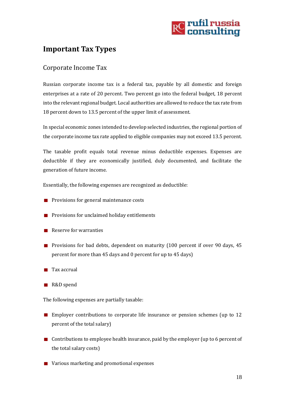

## <span id="page-18-0"></span>**Important Tax Types**

## <span id="page-18-1"></span>Corporate Income Tax

Russian corporate income tax is a federal tax, payable by all domestic and foreign enterprises at a rate of 20 percent. Two percent go into the federal budget, 18 percent into the relevant regional budget. Local authorities are allowed to reduce the tax rate from 18 percent down to 13.5 percent of the upper limit of assessment.

In special economic zones intended to develop selected industries, the regional portion of the corporate income tax rate applied to eligible companies may not exceed 13.5 percent.

The taxable profit equals total revenue minus deductible expenses. Expenses are deductible if they are economically justified, duly documented, and facilitate the generation of future income.

Essentially, the following expenses are recognized as deductible:

- $\blacksquare$  Provisions for general maintenance costs
- **Provisions for unclaimed holiday entitlements**
- $\blacksquare$  Reserve for warranties
- **Provisions for bad debts, dependent on maturity (100 percent if over 90 days, 45** percent for more than 45 days and 0 percent for up to 45 days)
- $\blacksquare$  Tax accrual
- R&D spend

The following expenses are partially taxable:

- **Employer contributions to corporate life insurance or pension schemes (up to 12** percent of the total salary)
- Contributions to employee health insurance, paid by the employer (up to 6 percent of the total salary costs)
- Various marketing and promotional expenses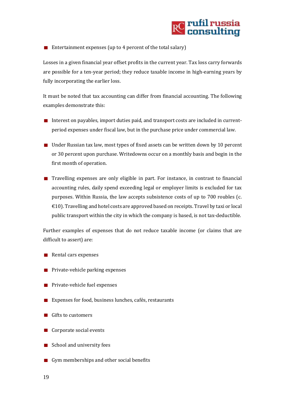

Entertainment expenses (up to 4 percent of the total salary)

Losses in a given financial year offset profits in the current year. Tax loss carry forwards are possible for a ten-year period; they reduce taxable income in high-earning years by fully incorporating the earlier loss.

It must be noted that tax accounting can differ from financial accounting. The following examples demonstrate this:

- Interest on payables, import duties paid, and transport costs are included in currentperiod expenses under fiscal law, but in the purchase price under commercial law.
- $\blacksquare$  Under Russian tax law, most types of fixed assets can be written down by 10 percent or 30 percent upon purchase. Writedowns occur on a monthly basis and begin in the first month of operation.
- Travelling expenses are only eligible in part. For instance, in contrast to financial accounting rules, daily spend exceeding legal or employer limits is excluded for tax purposes. Within Russia, the law accepts subsistence costs of up to 700 roubles (c. €10). Travelling and hotel costs are approved based on receipts. Travel by taxi or local public transport within the city in which the company is based, is not tax-deductible.

Further examples of expenses that do not reduce taxable income (or claims that are difficult to assert) are:

- $\blacksquare$  Rental cars expenses
- **Private-vehicle parking expenses**
- $\blacksquare$  Private-vehicle fuel expenses
- Expenses for food, business lunches, cafés, restaurants
- Gifts to customers
- Corporate social events
- School and university fees
- Gym memberships and other social benefits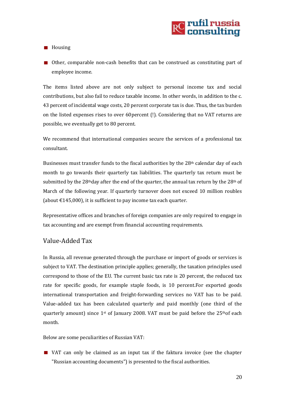**Housing** 

Other, comparable non-cash benefits that can be construed as constituting part of employee income.

The items listed above are not only subject to personal income tax and social contributions, but also fail to reduce taxable income. In other words, in addition to the c. 43 percent of incidental wage costs, 20 percent corporate tax is due. Thus, the tax burden on the listed expenses rises to over 60percent (!). Considering that no VAT returns are possible, we eventually get to 80 percent.

We recommend that international companies secure the services of a professional tax consultant.

Businesses must transfer funds to the fiscal authorities by the 28th calendar day of each month to go towards their quarterly tax liabilities. The quarterly tax return must be submitted by the 28<sup>th</sup>day after the end of the quarter, the annual tax return by the 28<sup>th</sup> of March of the following year. If quarterly turnover does not exceed 10 million roubles (about  $\text{\textsterling}145,000$ ), it is sufficient to pay income tax each quarter.

Representative offices and branches of foreign companies are only required to engage in tax accounting and are exempt from financial accounting requirements.

#### <span id="page-20-0"></span>Value-Added Tax

In Russia, all revenue generated through the purchase or import of goods or services is subject to VAT. The destination principle applies; generally, the taxation principles used correspond to those of the EU. The current basic tax rate is 20 percent, the reduced tax rate for specific goods, for example staple foods, is 10 percent.For exported goods international transportation and freight-forwarding services no VAT has to be paid. Value-added tax has been calculated quarterly and paid monthly (one third of the quarterly amount) since 1st of January 2008. VAT must be paid before the 25thof each month.

Below are some peculiarities of Russian VAT:

VAT can only be claimed as an input tax if the faktura invoice (see the chapter "Russian accounting documents") is presented to the fiscal authorities.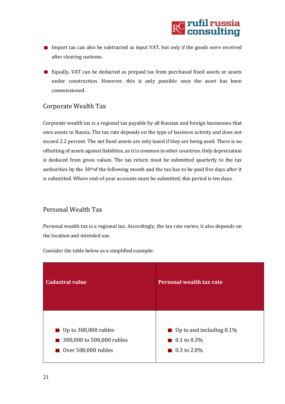

- Import tax can also be subtracted as input VAT, but only if the goods were received after clearing customs.
- Equally, VAT can be deducted as prepaid tax from purchased fixed assets or assets under construction. However, this is only possible once the asset has been commissioned.

### <span id="page-21-0"></span>Corporate Wealth Tax

Corporate wealth tax is a regional tax payable by all Russian and foreign businesses that own assets in Russia. The tax rate depends on the type of business activity and does not exceed 2.2 percent. The net fixed assets are only taxed if they are being used. There is no offsetting of assets against liabilities, as itis common in other countries. Only depreciation is deduced from gross values. The tax return must be submitted quarterly to the tax authorities by the 30thof the following month and the tax has to be paid five days after it is submitted. Where end-of-year accounts must be submitted, this period is ten days.

#### <span id="page-21-1"></span>Personal Wealth Tax

Personal wealth tax is a regional tax. Accordingly, the tax rate varies; it also depends on the location and intended use.



Consider the table below as a simplified example: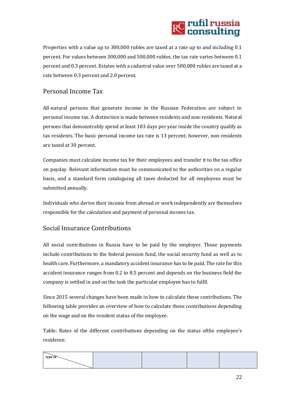

Properties with a value up to 300,000 rubles are taxed at a rate up to and including 0.1 percent. For values between 300,000 and 500,000 rubles, the tax rate varies between 0.1 percent and 0.3 percent. Estates with a cadastral value over 500,000 rubles are taxed at a rate between 0.3 percent and 2.0 percent.

## <span id="page-22-0"></span>Personal Income Tax

All-natural persons that generate income in the Russian Federation are subject to personal income tax. A distinction is made between residents and non-residents. Natural persons that demonstrably spend at least 183 days per year inside the country qualify as tax residents. The basic personal income tax rate is 13 percent; however, non-residents are taxed at 30 percent.

Companies must calculate income tax for their employees and transfer it to the tax office on payday. Relevant information must be communicated to the authorities on a regular basis, and a standard form cataloguing all taxes deducted for all employees must be submitted annually.

Individuals who derive their income from abroad or work independently are themselves responsible for the calculation and payment of personal income tax.

### <span id="page-22-1"></span>Social Insurance Contributions

All social contributions in Russia have to be paid by the employer. Those payments include contributions to the federal pension fund, the social security fund as well as to health care. Furthermore, a mandatory accident insurance has to be paid. The rate for this accident insurance ranges from 0.2 to 8.5 percent and depends on the business field the company is settled in and on the task the particular employee has to fulfil.

Since 2015 several changes have been made in how to calculate those contributions. The following table provides an overview of how to calculate these contributions depending on the wage and on the resident status of the employee.

Table: Rates of the different contributions depending on the status ofthe employee's residence.

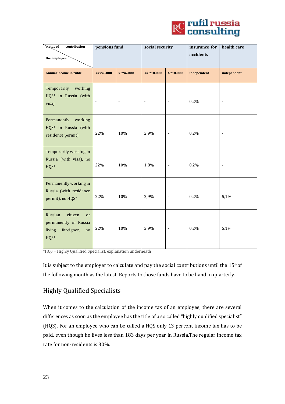

| contribution<br>status of                                                                            | pensions fund            |                | social security |                          | insurance for<br>accidents | health care              |
|------------------------------------------------------------------------------------------------------|--------------------------|----------------|-----------------|--------------------------|----------------------------|--------------------------|
| the employee                                                                                         |                          |                |                 |                          |                            |                          |
| Annual income in ruble                                                                               | $\leq 796.000$           | >796.000       | $= 718.000$     | >718.000                 | independent                | independent              |
| Temporarily<br>working<br>HQS* in Russia (with<br>visa)                                              | $\overline{\phantom{a}}$ | $\blacksquare$ | $\blacksquare$  | $\blacksquare$           | 0,2%                       | $\overline{\phantom{a}}$ |
| Permanently working<br>HQS* in Russia (with<br>residence permit)                                     | 22%                      | 10%            | 2,9%            | $\overline{\phantom{a}}$ | 0,2%                       |                          |
| Temporarily working in<br>Russia (with visa), no<br>$HQS*$                                           | 22%                      | 10%            | 1,8%            |                          | 0,2%                       |                          |
| Permanently working in<br>Russia (with residence<br>permit), no HQS*                                 | 22%                      | 10%            | 2,9%            | $\Box$                   | 0,2%                       | 5,1%                     |
| Russian<br>citizen<br><sub>or</sub><br>permanently in Russia<br>foreigner,<br>living<br>no<br>$HQS*$ | 22%                      | 10%            | 2,9%            | $\overline{\phantom{a}}$ | 0,2%                       | 5,1%                     |

\*HQS = Highly Qualified Specialist, explanation underneath

It is subject to the employer to calculate and pay the social contributions until the  $15<sup>th</sup>$ of the following month as the latest. Reports to those funds have to be hand in quarterly.

## <span id="page-23-0"></span>Highly Qualified Specialists

When it comes to the calculation of the income tax of an employee, there are several differences as soon as the employee has the title of a so called "highly qualified specialist" (HQS). For an employee who can be called a HQS only 13 percent income tax has to be paid, even though he lives less than 183 days per year in Russia.The regular income tax rate for non-residents is 30%.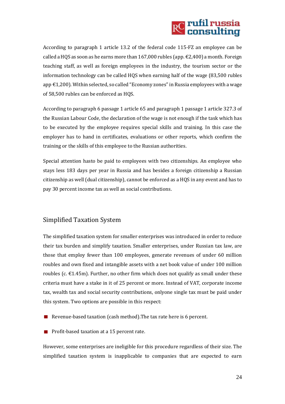# **RC** rufil russia<br>RC consulting

According to paragraph 1 article 13.2 of the federal code 115-FZ an employee can be called a HQS as soon as he earns more than  $167,000$  rubles (app.  $\epsilon$ 2,400) a month. Foreign teaching staff, as well as foreign employees in the industry, the tourism sector or the information technology can be called HQS when earning half of the wage (83,500 rubles app €1,200). Within selected, so called "Economy zones" in Russia employees with a wage of 58,500 rubles can be enforced as HQS.

According to paragraph 6 passage 1 article 65 and paragraph 1 passage 1 article 327.3 of the Russian Labour Code, the declaration of the wage is not enough if the task which has to be executed by the employee requires special skills and training. In this case the employer has to hand in certificates, evaluations or other reports, which confirm the training or the skills of this employee to the Russian authorities.

Special attention hasto be paid to employees with two citizenships. An employee who stays less 183 days per year in Russia and has besides a foreign citizenship a Russian citizenship as well (dual citizenship), cannot be enforced as a HQS in any event and has to pay 30 percent income tax as well as social contributions.

## <span id="page-24-0"></span>Simplified Taxation System

The simplified taxation system for smaller enterprises was introduced in order to reduce their tax burden and simplify taxation. Smaller enterprises, under Russian tax law, are those that employ fewer than 100 employees, generate revenues of under 60 million roubles and own fixed and intangible assets with a net book value of under 100 million roubles (c.  $\epsilon$ 1.45m). Further, no other firm which does not qualify as small under these criteria must have a stake in it of 25 percent or more. Instead of VAT, corporate income tax, wealth tax and social security contributions, onlyone single tax must be paid under this system. Two options are possible in this respect:

- Revenue-based taxation (cash method). The tax rate here is 6 percent.
- **Profit-based taxation at a 15 percent rate.**

However, some enterprises are ineligible for this procedure regardless of their size. The simplified taxation system is inapplicable to companies that are expected to earn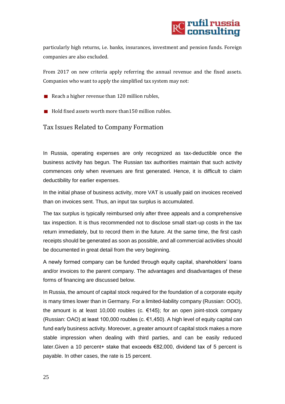<span id="page-25-0"></span>

particularly high returns, i.e. banks, insurances, investment and pension funds. Foreign companies are also excluded.

From 2017 on new criteria apply referring the annual revenue and the fixed assets. Companies who want to apply the simplified tax system may not:

- Reach a higher revenue than  $120$  million rubles,
- $\blacksquare$  Hold fixed assets worth more than 150 million rubles.

#### Tax Issues Related to Company Formation

In Russia, operating expenses are only recognized as tax-deductible once the business activity has begun. The Russian tax authorities maintain that such activity commences only when revenues are first generated. Hence, it is difficult to claim deductibility for earlier expenses.

In the initial phase of business activity, more VAT is usually paid on invoices received than on invoices sent. Thus, an input tax surplus is accumulated.

The tax surplus is typically reimbursed only after three appeals and a comprehensive tax inspection. It is thus recommended not to disclose small start-up costs in the tax return immediately, but to record them in the future. At the same time, the first cash receipts should be generated as soon as possible, and all commercial activities should be documented in great detail from the very beginning.

A newly formed company can be funded through equity capital, shareholders' loans and/or invoices to the parent company. The advantages and disadvantages of these forms of financing are discussed below.

In Russia, the amount of capital stock required for the foundation of a corporate equity is many times lower than in Germany. For a limited-liability company (Russian: OOO), the amount is at least 10,000 roubles (c.  $\epsilon$ 145); for an open joint-stock company (Russian: OAO) at least 100,000 roubles (c. €1,450). A high level of equity capital can fund early business activity. Moreover, a greater amount of capital stock makes a more stable impression when dealing with third parties, and can be easily reduced later.Given a 10 percent+ stake that exceeds €82,000, dividend tax of 5 percent is payable. In other cases, the rate is 15 percent.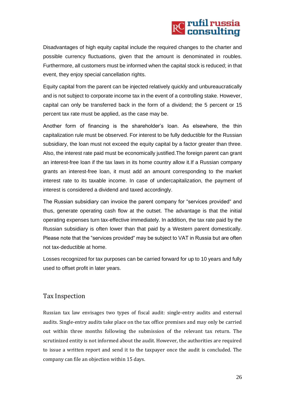# **RC** rufil russia<br>RC consulting

Disadvantages of high equity capital include the required changes to the charter and possible currency fluctuations, given that the amount is denominated in roubles. Furthermore, all customers must be informed when the capital stock is reduced; in that event, they enjoy special cancellation rights.

Equity capital from the parent can be injected relatively quickly and unbureaucratically and is not subject to corporate income tax in the event of a controlling stake. However, capital can only be transferred back in the form of a dividend; the 5 percent or 15 percent tax rate must be applied, as the case may be.

Another form of financing is the shareholder's loan. As elsewhere, the thin capitalization rule must be observed. For interest to be fully deductible for the Russian subsidiary, the loan must not exceed the equity capital by a factor greater than three. Also, the interest rate paid must be economically justified.The foreign parent can grant an interest-free loan if the tax laws in its home country allow it.If a Russian company grants an interest-free loan, it must add an amount corresponding to the market interest rate to its taxable income. In case of undercapitalization, the payment of interest is considered a dividend and taxed accordingly.

The Russian subsidiary can invoice the parent company for "services provided" and thus, generate operating cash flow at the outset. The advantage is that the initial operating expenses turn tax-effective immediately. In addition, the tax rate paid by the Russian subsidiary is often lower than that paid by a Western parent domestically. Please note that the "services provided" may be subject to VAT in Russia but are often not tax-deductible at home.

Losses recognized for tax purposes can be carried forward for up to 10 years and fully used to offset profit in later years.

### <span id="page-26-0"></span>Tax Inspection

Russian tax law envisages two types of fiscal audit: single-entry audits and external audits. Single-entry audits take place on the tax office premises and may only be carried out within three months following the submission of the relevant tax return. The scrutinized entity is not informed about the audit. However, the authorities are required to issue a written report and send it to the taxpayer once the audit is concluded. The company can file an objection within 15 days.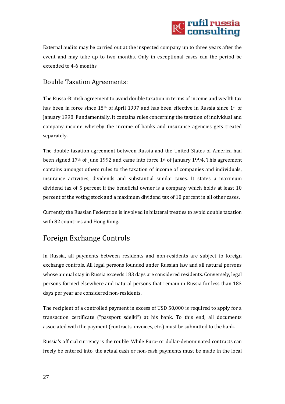

External audits may be carried out at the inspected company up to three years after the event and may take up to two months. Only in exceptional cases can the period be extended to 4-6 months.

### <span id="page-27-0"></span>Double Taxation Agreements:

The Russo-British agreement to avoid double taxation in terms of income and wealth tax has been in force since 18<sup>th</sup> of April 1997 and has been effective in Russia since 1<sup>st</sup> of January 1998. Fundamentally, it contains rules concerning the taxation of individual and company income whereby the income of banks and insurance agencies gets treated separately.

The double taxation agreement between Russia and the United States of America had been signed  $17<sup>th</sup>$  of June 1992 and came into force  $1<sup>st</sup>$  of January 1994. This agreement contains amongst others rules to the taxation of income of companies and individuals, insurance activities, dividends and substantial similar taxes. It states a maximum dividend tax of 5 percent if the beneficial owner is a company which holds at least 10 percent of the voting stock and a maximum dividend tax of 10 percent in all other cases.

Currently the Russian Federation is involved in bilateral treaties to avoid double taxation with 82 countries and Hong Kong.

## <span id="page-27-1"></span>Foreign Exchange Controls

In Russia, all payments between residents and non-residents are subject to foreign exchange controls. All legal persons founded under Russian law and all natural persons whose annual stay in Russia exceeds 183 days are considered residents. Conversely, legal persons formed elsewhere and natural persons that remain in Russia for less than 183 days per year are considered non-residents.

The recipient of a controlled payment in excess of USD 50,000 is required to apply for a transaction certificate ("passport sdelki") at his bank. To this end, all documents associated with the payment (contracts, invoices, etc.) must be submitted to the bank.

Russia's official currency is the rouble. While Euro- or dollar-denominated contracts can freely be entered into, the actual cash or non-cash payments must be made in the local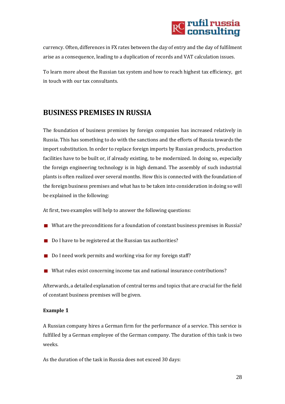

currency. Often, differences in FX rates between the day of entry and the day of fulfilment arise as a consequence, leading to a duplication of records and VAT calculation issues.

To learn more about the Russian tax system and how to reach highest tax efficiency, get in touch with our tax consultants.

## <span id="page-28-0"></span>**BUSINESS PREMISES IN RUSSIA**

The foundation of business premises by foreign companies has increased relatively in Russia. This has something to do with the sanctions and the efforts of Russia towards the import substitution. In order to replace foreign imports by Russian products, production facilities have to be built or, if already existing, to be modernized. In doing so, especially the foreign engineering technology is in high demand. The assembly of such industrial plants is often realized over several months. How this is connected with the foundation of the foreign business premises and what has to be taken into consideration in doing so will be explained in the following:

At first, two examples will help to answer the following questions:

- What are the preconditions for a foundation of constant business premises in Russia?
- Do I have to be registered at the Russian tax authorities?
- Do I need work permits and working visa for my foreign staff?
- What rules exist concerning income tax and national insurance contributions?

Afterwards, a detailed explanation of central terms and topics that are crucial for the field of constant business premises will be given.

#### **Example 1**

A Russian company hires a German firm for the performance of a service. This service is fulfilled by a German employee of the German company. The duration of this task is two weeks.

As the duration of the task in Russia does not exceed 30 days: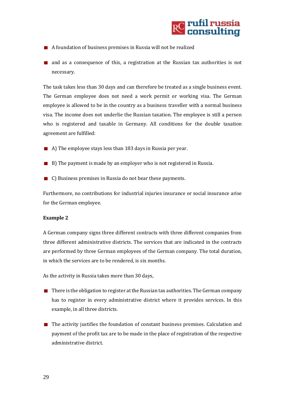

- A foundation of business premises in Russia will not be realized
- **n** and as a consequence of this, a registration at the Russian tax authorities is not necessary.

The task takes less than 30 days and can therefore be treated as a single business event. The German employee does not need a work permit or working visa. The German employee is allowed to be in the country as a business traveller with a normal business visa. The income does not underlie the Russian taxation. The employee is still a person who is registered and taxable in Germany. All conditions for the double taxation agreement are fulfilled:

- A) The employee stays less than 183 days in Russia per year.
- B) The payment is made by an employer who is not registered in Russia.
- C) Business premises in Russia do not bear these payments.

Furthermore, no contributions for industrial injuries insurance or social insurance arise for the German employee.

#### **Example 2**

A German company signs three different contracts with three different companies from three different administrative districts. The services that are indicated in the contracts are performed by three German employees of the German company. The total duration, in which the services are to be rendered, is six months.

As the activity in Russia takes more than 30 days,

- $\blacksquare$  There is the obligation to register at the Russian tax authorities. The German company has to register in every administrative district where it provides services. In this example, in all three districts.
- $\blacksquare$  The activity justifies the foundation of constant business premises. Calculation and payment of the profit tax are to be made in the place of registration of the respective administrative district.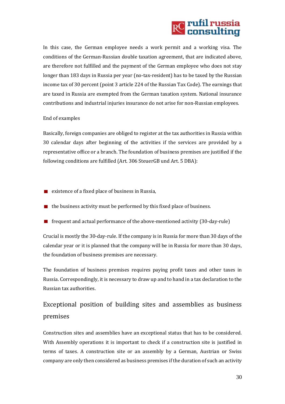# **RC** rufil russia<br>RC consulting

In this case, the German employee needs a work permit and a working visa. The conditions of the German-Russian double taxation agreement, that are indicated above, are therefore not fulfilled and the payment of the German employee who does not stay longer than 183 days in Russia per year (no-tax-resident) has to be taxed by the Russian income tax of 30 percent (point 3 article 224 of the Russian Tax Code). The earnings that are taxed in Russia are exempted from the German taxation system. National insurance contributions and industrial injuries insurance do not arise for non-Russian employees.

#### End of examples

Basically, foreign companies are obliged to register at the tax authorities in Russia within 30 calendar days after beginning of the activities if the services are provided by a representative office or a branch. The foundation of business premises are justified if the following conditions are fulfilled (Art. 306 SteuerGB und Art. 5 DBA):

- **E** existence of a fixed place of business in Russia,
- $\blacksquare$  the business activity must be performed by this fixed place of business.
- **FRED** frequent and actual performance of the above-mentioned activity (30-day-rule)

Crucial is mostly the 30-day-rule. If the company is in Russia for more than 30 days of the calendar year or it is planned that the company will be in Russia for more than 30 days, the foundation of business premises are necessary.

The foundation of business premises requires paying profit taxes and other taxes in Russia. Correspondingly, it is necessary to draw up and to hand in a tax declaration to the Russian tax authorities.

# Exceptional position of building sites and assemblies as business premises

Construction sites and assemblies have an exceptional status that has to be considered. With Assembly operations it is important to check if a construction site is justified in terms of taxes. A construction site or an assembly by a German, Austrian or Swiss company are only then considered as business premises if the duration of such an activity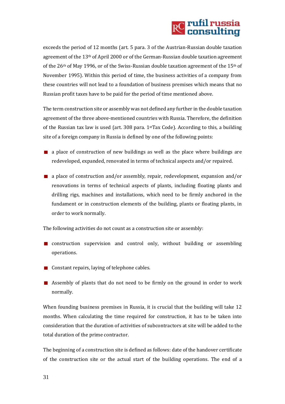# **RC** rufil russia<br>RC consulting

exceeds the period of 12 months (art. 5 para. 3 of the Austrian-Russian double taxation agreement of the 13th of April 2000 or of the German-Russian double taxation agreement of the  $26<sup>th</sup>$  of May 1996, or of the Swiss-Russian double taxation agreement of the 15<sup>th</sup> of November 1995). Within this period of time, the business activities of a company from these countries will not lead to a foundation of business premises which means that no Russian profit taxes have to be paid for the period of time mentioned above.

The term construction site or assembly was not defined any further in the double taxation agreement of the three above-mentioned countries with Russia. Therefore, the definition of the Russian tax law is used (art. 308 para. 1stTax Code). According to this, a building site of a foreign company in Russia is defined by one of the following points:

- $\blacksquare$  a place of construction of new buildings as well as the place where buildings are redeveloped, expanded, renovated in terms of technical aspects and/or repaired.
- **a** a place of construction and/or assembly, repair, redevelopment, expansion and/or renovations in terms of technical aspects of plants, including floating plants and drilling rigs, machines and installations, which need to be firmly anchored in the fundament or in construction elements of the building, plants or floating plants, in order to work normally.

The following activities do not count as a construction site or assembly:

- **n** construction supervision and control only, without building or assembling operations.
- Constant repairs, laying of telephone cables.
- **EXECUTE:** Assembly of plants that do not need to be firmly on the ground in order to work normally.

When founding business premises in Russia, it is crucial that the building will take 12 months. When calculating the time required for construction, it has to be taken into consideration that the duration of activities of subcontractors at site will be added to the total duration of the prime contractor.

The beginning of a construction site is defined as follows: date of the handover certificate of the construction site or the actual start of the building operations. The end of a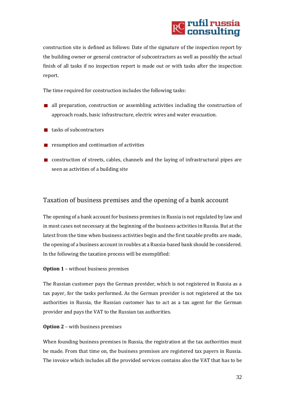

construction site is defined as follows: Date of the signature of the inspection report by the building owner or general contractor of subcontractors as well as possibly the actual finish of all tasks if no inspection report is made out or with tasks after the inspection report.

The time required for construction includes the following tasks:

- all preparation, construction or assembling activities including the construction of approach roads, basic infrastructure, electric wires and water evacuation.
- $\blacksquare$  tasks of subcontractors
- $\blacksquare$  resumption and continuation of activities
- construction of streets, cables, channels and the laying of infrastructural pipes are seen as activities of a building site

#### Taxation of business premises and the opening of a bank account

The opening of a bank account for business premises in Russia is not regulated by law and in most cases not necessary at the beginning of the business activities in Russia. But at the latest from the time when business activities begin and the first taxable profits are made, the opening of a business account in roubles at a Russia-based bank should be considered. In the following the taxation process will be exemplified:

#### **Option 1** – without business premises

The Russian customer pays the German provider, which is not registered in Russia as a tax payer, for the tasks performed. As the German provider is not registered at the tax authorities in Russia, the Russian customer has to act as a tax agent for the German provider and pays the VAT to the Russian tax authorities.

#### **Option 2** – with business premises

When founding business premises in Russia, the registration at the tax authorities must be made. From that time on, the business premises are registered tax payers in Russia. The invoice which includes all the provided services contains also the VAT that has to be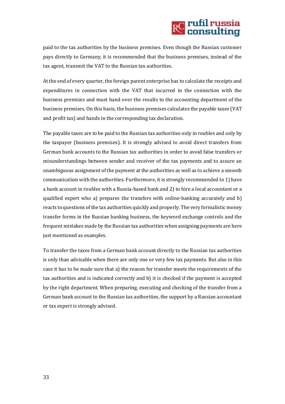# **RC** rufil russia<br>RC consulting

paid to the tax authorities by the business premises. Even though the Russian customer pays directly to Germany, it is recommended that the business premises, instead of the tax agent, transmit the VAT to the Russian tax authorities.

At the end of every quarter, the foreign parent enterprise has to calculate the receipts and expenditures in connection with the VAT that incurred in the connection with the business premises and must hand over the results to the accounting department of the business premises. On this basis, the business premises calculates the payable taxes (VAT and profit tax) and hands in the corresponding tax declaration.

The payable taxes are to be paid to the Russian tax authorities only in roubles and only by the taxpayer (business premises). It is strongly advised to avoid direct transfers from German bank accounts to the Russian tax authorities in order to avoid false transfers or misunderstandings between sender and receiver of the tax payments and to assure an unambiguous assignment of the payment at the authorities as well as to achieve a smooth communication with the authorities. Furthermore, it is strongly recommended to 1) have a bank account in roubles with a Russia-based bank and 2) to hire a local accountant or a qualified expert who a) prepares the transfers with online-banking accurately and b) reacts to questions of the tax authorities quickly and properly. The very formalistic money transfer forms in the Russian banking business, the keyword exchange controls and the frequent mistakes made by the Russian tax authorities when assigning payments are here just mentioned as examples.

To transfer the taxes from a German bank account directly to the Russian tax authorities is only than advisable when there are only one or very few tax payments. But also in this case it has to be made sure that a) the reason for transfer meets the requirements of the tax authorities and is indicated correctly and b) it is checked if the payment is accepted by the right department. When preparing, executing and checking of the transfer from a German bank account to the Russian tax authorities, the support by a Russian accountant or tax expert is strongly advised.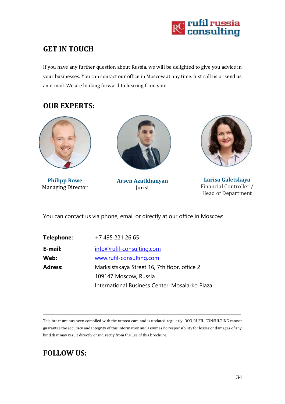

# <span id="page-34-0"></span>**GET IN TOUCH**

If you have any further question about Russia, we will be delighted to give you advice in your businesses. You can contact our office in Moscow at any time. Just call us or send us an e-mail. We are looking forward to hearing from you!

## **OUR EXPERTS:**



**Philipp Rowe** Managing Director



**Arsen Azatkhanyan** Jurist



**Larisa Galetskaya** Financial Controller / Head of Department

You can contact us via phone, email or directly at our office in Moscow:

| Telephone:     | +7 495 221 26 65                               |
|----------------|------------------------------------------------|
| E-mail:        | info@rufil-consulting.com                      |
| Web:           | www.rufil-consulting.com                       |
| <b>Adress:</b> | Marksistskaya Street 16, 7th floor, office 2   |
|                | 109147 Moscow, Russia                          |
|                | International Business Center: Mosalarko Plaza |

This brochure has been compiled with the utmost care and is updated regularly. OOO RUFIL CONSULTING cannot guarantee the accuracy and integrity of this information and assumes no responsibility for losses or damages of any kind that may result directly or indirectly from the use of this brochure.

\_\_\_\_\_\_\_\_\_\_\_\_\_\_\_\_\_\_\_\_\_\_\_\_\_\_\_\_\_\_\_\_\_\_\_\_\_\_\_\_\_\_\_\_\_\_\_\_\_\_\_\_\_\_\_\_\_\_\_\_\_\_

# **FOLLOW US:**